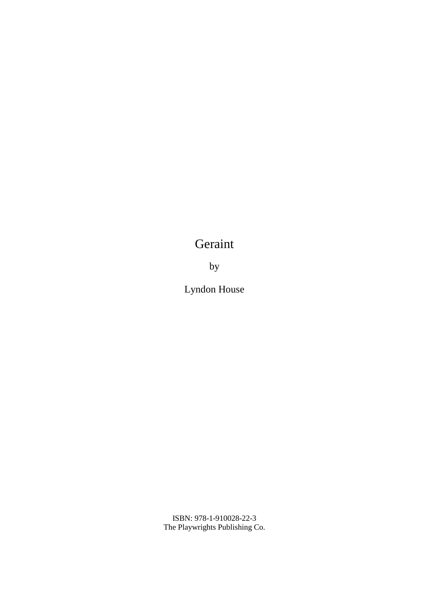## Geraint

by

Lyndon House

ISBN: 978-1-910028-22-3 The Playwrights Publishing Co.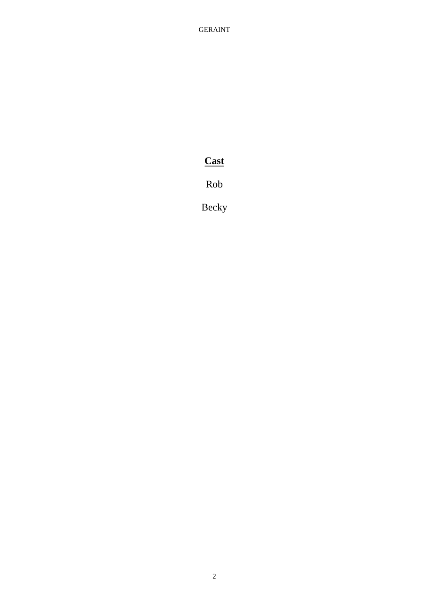GERAINT

## **Cast**

Rob

Becky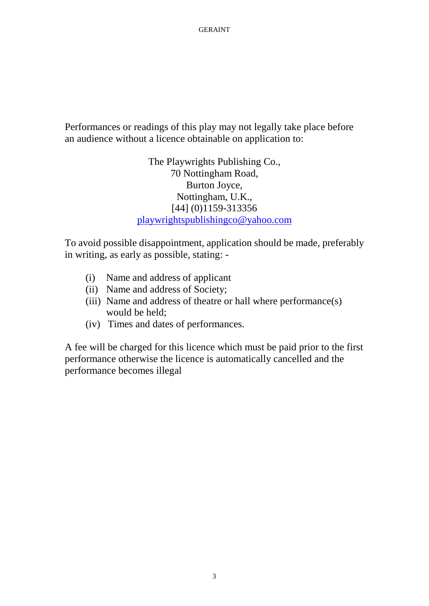Performances or readings of this play may not legally take place before an audience without a licence obtainable on application to:

> The Playwrights Publishing Co., 70 Nottingham Road, Burton Joyce, Nottingham, U.K., [44] (0)1159-313356 playwrightspublishingco@yahoo.com

To avoid possible disappointment, application should be made, preferably in writing, as early as possible, stating: -

- (i) Name and address of applicant
- (ii) Name and address of Society;
- (iii) Name and address of theatre or hall where performance(s) would be held;
- (iv) Times and dates of performances.

A fee will be charged for this licence which must be paid prior to the first performance otherwise the licence is automatically cancelled and the performance becomes illegal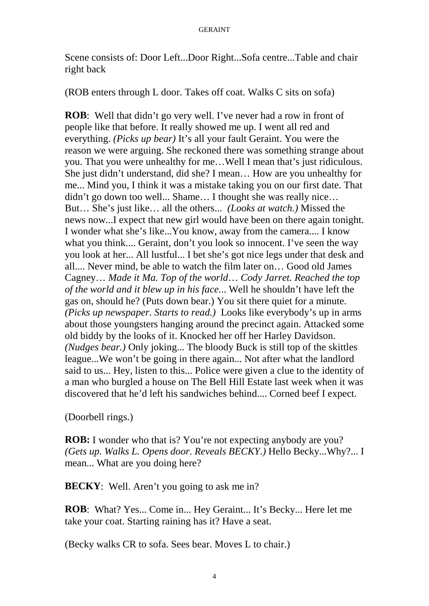Scene consists of: Door Left...Door Right...Sofa centre...Table and chair right back

(ROB enters through L door. Takes off coat. Walks C sits on sofa)

**ROB**: Well that didn't go very well. I've never had a row in front of people like that before. It really showed me up. I went all red and everything. *(Picks up bear)* It's all your fault Geraint. You were the reason we were arguing. She reckoned there was something strange about you. That you were unhealthy for me…Well I mean that's just ridiculous. She just didn't understand, did she? I mean… How are you unhealthy for me... Mind you, I think it was a mistake taking you on our first date. That didn't go down too well... Shame… I thought she was really nice… But… She's just like… all the others... *(Looks at watch.)* Missed the news now...I expect that new girl would have been on there again tonight. I wonder what she's like...You know, away from the camera.... I know what you think.... Geraint, don't you look so innocent. I've seen the way you look at her... All lustful... I bet she's got nice legs under that desk and all.... Never mind, be able to watch the film later on… Good old James Cagney… *Made it Ma. Top of the world*… *Cody Jarret. Reached the top of the world and it blew up in his face.*.. Well he shouldn't have left the gas on, should he? (Puts down bear.) You sit there quiet for a minute*. (Picks up newspaper. Starts to read.)* Looks like everybody's up in arms about those youngsters hanging around the precinct again. Attacked some old biddy by the looks of it. Knocked her off her Harley Davidson. *(Nudges bear.)* Only joking... The bloody Buck is still top of the skittles league...We won't be going in there again... Not after what the landlord said to us... Hey, listen to this... Police were given a clue to the identity of a man who burgled a house on The Bell Hill Estate last week when it was discovered that he'd left his sandwiches behind.... Corned beef I expect.

(Doorbell rings.)

**ROB:** I wonder who that is? You're not expecting anybody are you? *(Gets up. Walks L. Opens door. Reveals BECKY.)* Hello Becky...Why?... I mean... What are you doing here?

**BECKY:** Well. Aren't you going to ask me in?

**ROB**: What? Yes... Come in... Hey Geraint... It's Becky... Here let me take your coat. Starting raining has it? Have a seat.

(Becky walks CR to sofa. Sees bear. Moves L to chair.)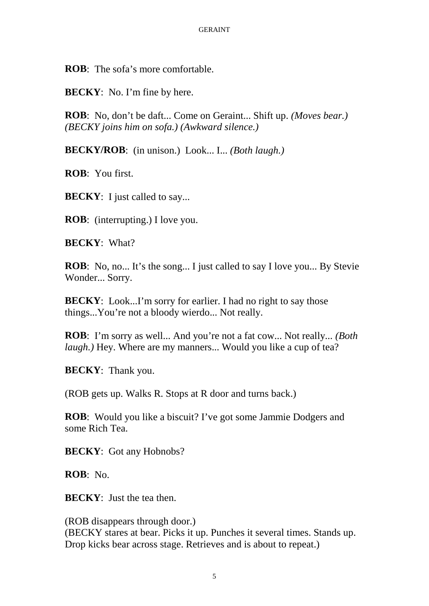**ROB**: The sofa's more comfortable.

**BECKY**: No. I'm fine by here.

**ROB**: No, don't be daft... Come on Geraint... Shift up. *(Moves bear.) (BECKY joins him on sofa.) (Awkward silence.)*

**BECKY/ROB**: (in unison.) Look... I... *(Both laugh.)*

**ROB**: You first.

**BECKY**: I just called to say...

**ROB**: (interrupting.) I love you.

**BECKY**: What?

**ROB**: No, no... It's the song... I just called to say I love you... By Stevie Wonder... Sorry.

**BECKY**: Look...I'm sorry for earlier. I had no right to say those things...You're not a bloody wierdo... Not really.

**ROB**: I'm sorry as well... And you're not a fat cow... Not really... *(Both laugh.*) Hey. Where are my manners... Would you like a cup of tea?

**BECKY**: Thank you.

(ROB gets up. Walks R. Stops at R door and turns back.)

**ROB**: Would you like a biscuit? I've got some Jammie Dodgers and some Rich Tea.

**BECKY**: Got any Hobnobs?

**ROB**: No.

**BECKY**: Just the tea then.

(ROB disappears through door.) (BECKY stares at bear. Picks it up. Punches it several times. Stands up. Drop kicks bear across stage. Retrieves and is about to repeat.)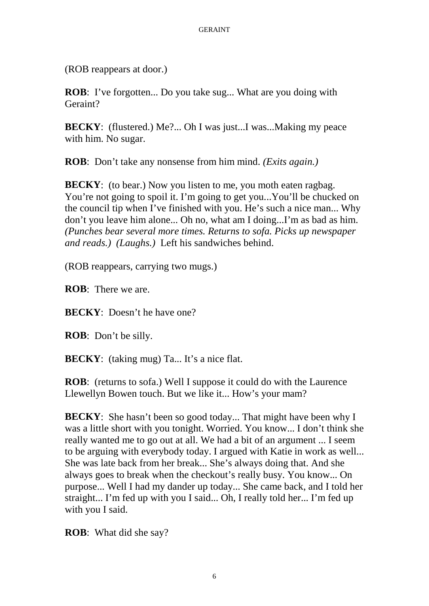(ROB reappears at door.)

**ROB**: I've forgotten... Do you take sug... What are you doing with Geraint?

**BECKY**: (flustered.) Me?... Oh I was just...I was...Making my peace with him. No sugar.

**ROB**: Don't take any nonsense from him mind. *(Exits again.)*

**BECKY**: (to bear.) Now you listen to me, you moth eaten ragbag. You're not going to spoil it. I'm going to get you...You'll be chucked on the council tip when I've finished with you. He's such a nice man... Why don't you leave him alone... Oh no, what am I doing...I'm as bad as him. *(Punches bear several more times. Returns to sofa. Picks up newspaper and reads.) (Laughs.)* Left his sandwiches behind.

(ROB reappears, carrying two mugs.)

**ROB**: There we are.

**BECKY**: Doesn't he have one?

**ROB**: Don't be silly.

**BECKY**: (taking mug) Ta... It's a nice flat.

**ROB**: (returns to sofa.) Well I suppose it could do with the Laurence Llewellyn Bowen touch. But we like it... How's your mam?

**BECKY**: She hasn't been so good today... That might have been why I was a little short with you tonight. Worried. You know... I don't think she really wanted me to go out at all. We had a bit of an argument ... I seem to be arguing with everybody today. I argued with Katie in work as well... She was late back from her break... She's always doing that. And she always goes to break when the checkout's really busy. You know... On purpose... Well I had my dander up today... She came back, and I told her straight... I'm fed up with you I said... Oh, I really told her... I'm fed up with you I said.

**ROB**: What did she say?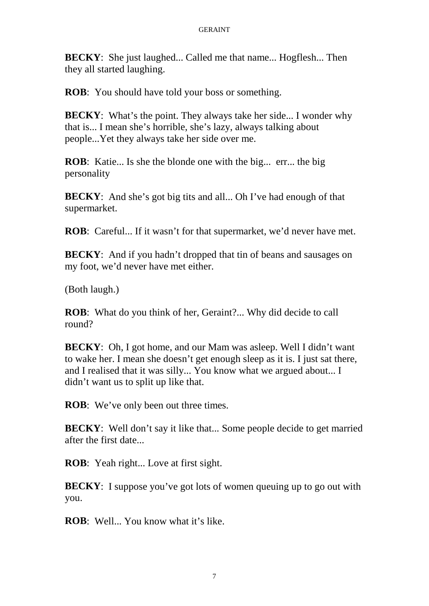**BECKY**: She just laughed... Called me that name... Hogflesh... Then they all started laughing.

**ROB**: You should have told your boss or something.

**BECKY**: What's the point. They always take her side... I wonder why that is... I mean she's horrible, she's lazy, always talking about people...Yet they always take her side over me.

**ROB**: Katie... Is she the blonde one with the big... err... the big. personality

**BECKY:** And she's got big tits and all... Oh I've had enough of that supermarket.

**ROB**: Careful... If it wasn't for that supermarket, we'd never have met.

**BECKY**: And if you hadn't dropped that tin of beans and sausages on my foot, we'd never have met either.

(Both laugh.)

**ROB**: What do you think of her, Geraint?... Why did decide to call round?

**BECKY**: Oh, I got home, and our Mam was asleep. Well I didn't want to wake her. I mean she doesn't get enough sleep as it is. I just sat there, and I realised that it was silly... You know what we argued about... I didn't want us to split up like that.

**ROB:** We've only been out three times.

**BECKY:** Well don't say it like that... Some people decide to get married after the first date...

**ROB**: Yeah right... Love at first sight.

**BECKY**: I suppose you've got lots of women queuing up to go out with you.

**ROB**: Well... You know what it's like.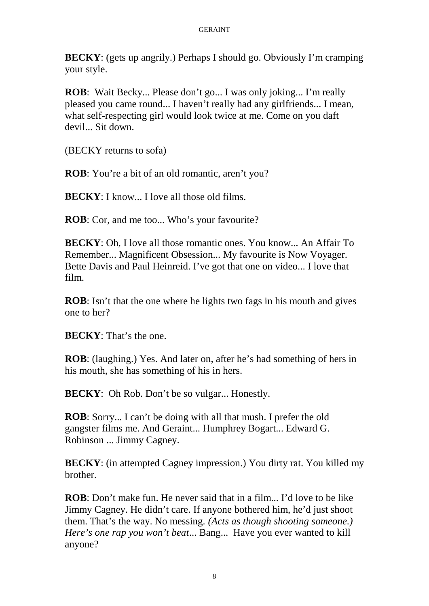**BECKY**: (gets up angrily.) Perhaps I should go. Obviously I'm cramping your style.

**ROB**: Wait Becky... Please don't go... I was only joking... I'm really pleased you came round... I haven't really had any girlfriends... I mean, what self-respecting girl would look twice at me. Come on you daft devil... Sit down.

(BECKY returns to sofa)

**ROB**: You're a bit of an old romantic, aren't you?

**BECKY**: I know... I love all those old films.

**ROB**: Cor, and me too... Who's your favourite?

**BECKY**: Oh, I love all those romantic ones. You know... An Affair To Remember... Magnificent Obsession... My favourite is Now Voyager. Bette Davis and Paul Heinreid. I've got that one on video... I love that film.

**ROB**: Isn't that the one where he lights two fags in his mouth and gives one to her?

**BECKY**: That's the one.

**ROB**: (laughing.) Yes. And later on, after he's had something of hers in his mouth, she has something of his in hers.

**BECKY**: Oh Rob. Don't be so vulgar... Honestly.

**ROB**: Sorry... I can't be doing with all that mush. I prefer the old gangster films me. And Geraint... Humphrey Bogart... Edward G. Robinson ... Jimmy Cagney.

**BECKY**: (in attempted Cagney impression.) You dirty rat. You killed my brother.

**ROB**: Don't make fun. He never said that in a film... I'd love to be like Jimmy Cagney. He didn't care. If anyone bothered him, he'd just shoot them. That's the way. No messing*. (Acts as though shooting someone.) Here's one rap you won't beat*... Bang... Have you ever wanted to kill anyone?